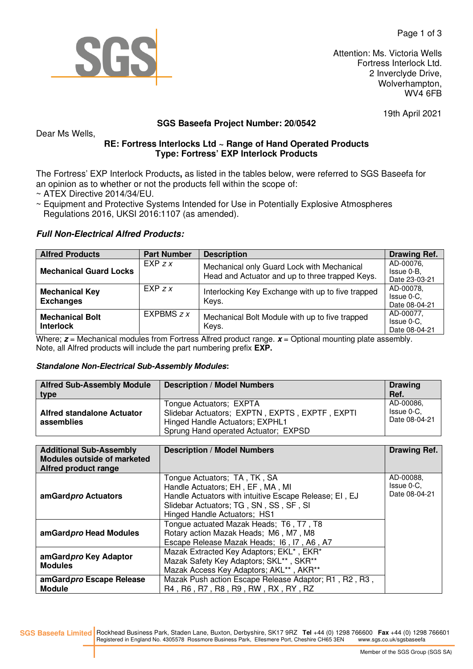

Attention: Ms. Victoria Wells Fortress Interlock Ltd. 2 Inverclyde Drive, Wolverhampton, WV4 6FB

19th April 2021

# **SGS Baseefa Project Number: 20/0542**

# **RE: Fortress Interlocks Ltd ~ Range of Hand Operated Products Type: Fortress' EXP Interlock Products**

The Fortress' EXP Interlock Products**,** as listed in the tables below, were referred to SGS Baseefa for an opinion as to whether or not the products fell within the scope of:

~ ATEX Directive 2014/34/EU.

Dear Ms Wells,

~ Equipment and Protective Systems Intended for Use in Potentially Explosive Atmospheres Regulations 2016, UKSI 2016:1107 (as amended).

#### **Full Non-Electrical Alfred Products:**

| <b>Alfred Products</b>                     | <b>Part Number</b> | <b>Description</b>                                                                            | <b>Drawing Ref.</b>                      |
|--------------------------------------------|--------------------|-----------------------------------------------------------------------------------------------|------------------------------------------|
| <b>Mechanical Guard Locks</b>              | $EXP \, ZX$        | Mechanical only Guard Lock with Mechanical<br>Head and Actuator and up to three trapped Keys. | AD-00076,<br>Issue 0-B.<br>Date 23-03-21 |
| <b>Mechanical Key</b><br><b>Exchanges</b>  | $EXP \, ZX$        | Interlocking Key Exchange with up to five trapped<br>Keys.                                    | AD-00078,<br>Issue 0-C,<br>Date 08-04-21 |
| <b>Mechanical Bolt</b><br><b>Interlock</b> | EXPBMS $7x$        | Mechanical Bolt Module with up to five trapped<br>Keys.                                       | AD-00077,<br>Issue 0-C.<br>Date 08-04-21 |

Where;  $z$  = Mechanical modules from Fortress Alfred product range.  $x$  = Optional mounting plate assembly. Note, all Alfred products will include the part numbering prefix **EXP.**

#### **Standalone Non-Electrical Sub-Assembly Modules:**

| <b>Alfred Sub-Assembly Module</b><br>type       | <b>Description / Model Numbers</b>                                                                                                                   | <b>Drawing</b><br>Ref.                   |
|-------------------------------------------------|------------------------------------------------------------------------------------------------------------------------------------------------------|------------------------------------------|
| <b>Alfred standalone Actuator</b><br>assemblies | Tongue Actuators; EXPTA<br>Slidebar Actuators; EXPTN, EXPTS, EXPTF, EXPTI<br>Hinged Handle Actuators; EXPHL1<br>Sprung Hand operated Actuator; EXPSD | AD-00086,<br>Issue 0-C,<br>Date 08-04-21 |

| <b>Additional Sub-Assembly</b><br><b>Modules outside of marketed</b><br>Alfred product range | <b>Description / Model Numbers</b>                                                                                                                                                                   | Drawing Ref.                             |
|----------------------------------------------------------------------------------------------|------------------------------------------------------------------------------------------------------------------------------------------------------------------------------------------------------|------------------------------------------|
| amGardpro Actuators                                                                          | Tongue Actuators; TA, TK, SA<br>Handle Actuators; EH, EF, MA, MI<br>Handle Actuators with intuitive Escape Release; EI, EJ<br>Slidebar Actuators; TG, SN, SS, SF, SI<br>Hinged Handle Actuators; HS1 | AD-00088.<br>Issue 0-C.<br>Date 08-04-21 |
| amGardpro Head Modules                                                                       | Tongue actuated Mazak Heads; T6, T7, T8<br>Rotary action Mazak Heads; M6, M7, M8<br>Escape Release Mazak Heads; 16, 17, A6, A7                                                                       |                                          |
| amGardpro Key Adaptor<br><b>Modules</b>                                                      | Mazak Extracted Key Adaptors; EKL*, EKR*<br>Mazak Safety Key Adaptors; SKL**, SKR**<br>Mazak Access Key Adaptors; AKL**, AKR**                                                                       |                                          |
| amGardpro Escape Release<br><b>Module</b>                                                    | Mazak Push action Escape Release Adaptor; R1, R2, R3,<br>R4, R6, R7, R8, R9, RW, RX, RY, RZ                                                                                                          |                                          |

**SGS Baseefa Limited** Rockhead Business Park, Staden Lane, Buxton, Derbyshire, SK17 9RZ **Tel** +44 (0) 1298 766600 **Fax** +44 (0) 1298 766601 Registered in England No. 4305578 Rossmore Business Park, Ellesmere Port, Cheshire CH65 3EN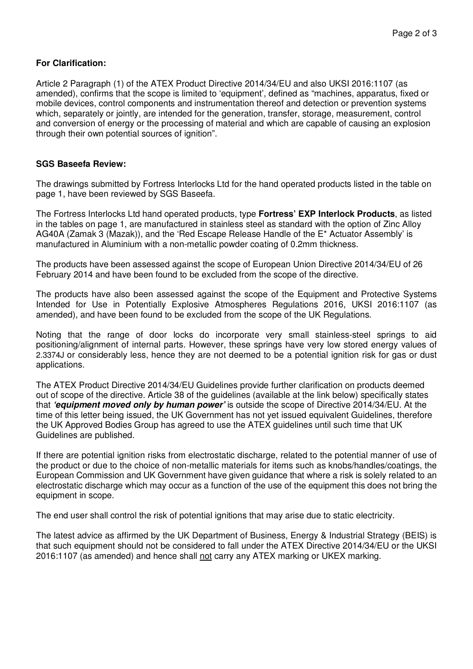# **For Clarification:**

Article 2 Paragraph (1) of the ATEX Product Directive 2014/34/EU and also UKSI 2016:1107 (as amended), confirms that the scope is limited to 'equipment', defined as "machines, apparatus, fixed or mobile devices, control components and instrumentation thereof and detection or prevention systems which, separately or jointly, are intended for the generation, transfer, storage, measurement, control and conversion of energy or the processing of material and which are capable of causing an explosion through their own potential sources of ignition".

#### **SGS Baseefa Review:**

The drawings submitted by Fortress Interlocks Ltd for the hand operated products listed in the table on page 1, have been reviewed by SGS Baseefa.

The Fortress Interlocks Ltd hand operated products, type **Fortress' EXP Interlock Products**, as listed in the tables on page 1, are manufactured in stainless steel as standard with the option of Zinc Alloy AG40A (Zamak 3 (Mazak)), and the 'Red Escape Release Handle of the E\* Actuator Assembly' is manufactured in Aluminium with a non-metallic powder coating of 0.2mm thickness.

The products have been assessed against the scope of European Union Directive 2014/34/EU of 26 February 2014 and have been found to be excluded from the scope of the directive.

The products have also been assessed against the scope of the Equipment and Protective Systems Intended for Use in Potentially Explosive Atmospheres Regulations 2016, UKSI 2016:1107 (as amended), and have been found to be excluded from the scope of the UK Regulations.

Noting that the range of door locks do incorporate very small stainless-steel springs to aid positioning/alignment of internal parts. However, these springs have very low stored energy values of 2.3374J or considerably less, hence they are not deemed to be a potential ignition risk for gas or dust applications.

The ATEX Product Directive 2014/34/EU Guidelines provide further clarification on products deemed out of scope of the directive. Article 38 of the guidelines (available at the link below) specifically states that **'equipment moved only by human power'** is outside the scope of Directive 2014/34/EU. At the time of this letter being issued, the UK Government has not yet issued equivalent Guidelines, therefore the UK Approved Bodies Group has agreed to use the ATEX guidelines until such time that UK Guidelines are published.

If there are potential ignition risks from electrostatic discharge, related to the potential manner of use of the product or due to the choice of non-metallic materials for items such as knobs/handles/coatings, the European Commission and UK Government have given guidance that where a risk is solely related to an electrostatic discharge which may occur as a function of the use of the equipment this does not bring the equipment in scope.

The end user shall control the risk of potential ignitions that may arise due to static electricity.

The latest advice as affirmed by the UK Department of Business, Energy & Industrial Strategy (BEIS) is that such equipment should not be considered to fall under the ATEX Directive 2014/34/EU or the UKSI 2016:1107 (as amended) and hence shall not carry any ATEX marking or UKEX marking.